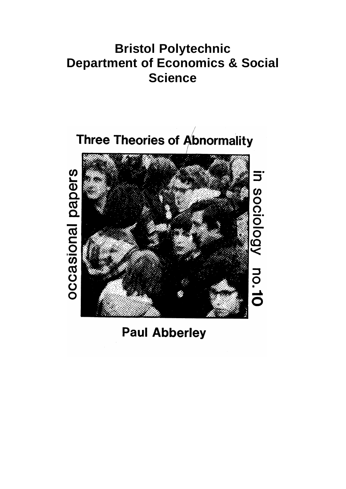## **Bristol Polytechnic Department of Economics & Social Science**

# Three Theories of Abnormality



**Paul Abberley**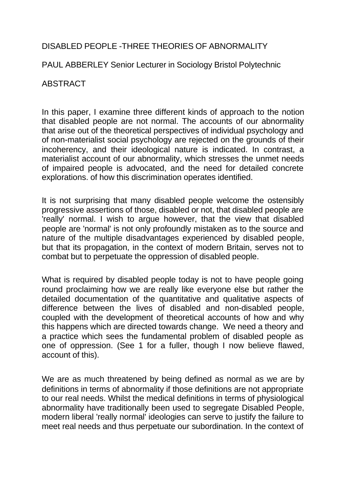### DISABLED PEOPLE -THREE THEORIES OF ABNORMALITY

#### PAUL ABBERLEY Senior Lecturer in Sociology Bristol Polytechnic

#### ABSTRACT

In this paper, I examine three different kinds of approach to the notion that disabled people are not normal. The accounts of our abnormality that arise out of the theoretical perspectives of individual psychology and of non-materialist social psychology are rejected on the grounds of their incoherency, and their ideological nature is indicated. In contrast, a materialist account of our abnormality, which stresses the unmet needs of impaired people is advocated, and the need for detailed concrete explorations. of how this discrimination operates identified.

It is not surprising that many disabled people welcome the ostensibly progressive assertions of those, disabled or not, that disabled people are 'really' normal. I wish to argue however, that the view that disabled people are 'normal' is not only profoundly mistaken as to the source and nature of the multiple disadvantages experienced by disabled people, but that its propagation, in the context of modern Britain, serves not to combat but to perpetuate the oppression of disabled people.

What is required by disabled people today is not to have people going round proclaiming how we are really like everyone else but rather the detailed documentation of the quantitative and qualitative aspects of difference between the lives of disabled and non-disabled people, coupled with the development of theoretical accounts of how and why this happens which are directed towards change. We need a theory and a practice which sees the fundamental problem of disabled people as one of oppression. (See 1 for a fuller, though I now believe flawed, account of this).

We are as much threatened by being defined as normal as we are by definitions in terms of abnormality if those definitions are not appropriate to our real needs. Whilst the medical definitions in terms of physiological abnormality have traditionally been used to segregate Disabled People, modern liberal 'really normal' ideologies can serve to justify the failure to meet real needs and thus perpetuate our subordination. In the context of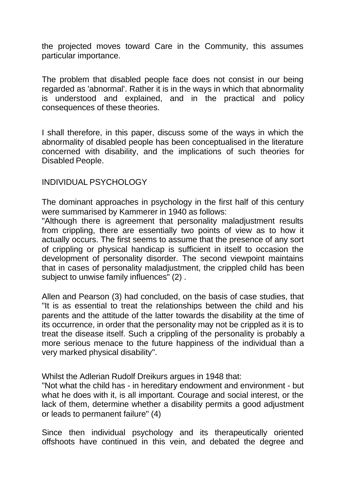the projected moves toward Care in the Community, this assumes particular importance.

The problem that disabled people face does not consist in our being regarded as 'abnormal'. Rather it is in the ways in which that abnormality is understood and explained, and in the practical and policy consequences of these theories.

I shall therefore, in this paper, discuss some of the ways in which the abnormality of disabled people has been conceptualised in the literature concerned with disability, and the implications of such theories for Disabled People.

#### INDIVIDUAL PSYCHOLOGY

The dominant approaches in psychology in the first half of this century were summarised by Kammerer in 1940 as follows:

"Although there is agreement that personality maladjustment results from crippling, there are essentially two points of view as to how it actually occurs. The first seems to assume that the presence of any sort of crippling or physical handicap is sufficient in itself to occasion the development of personality disorder. The second viewpoint maintains that in cases of personality maladjustment, the crippled child has been subject to unwise family influences" (2) .

Allen and Pearson (3) had concluded, on the basis of case studies, that "It is as essential to treat the relationships between the child and his parents and the attitude of the latter towards the disability at the time of its occurrence, in order that the personality may not be crippled as it is to treat the disease itself. Such a crippling of the personality is probably a more serious menace to the future happiness of the individual than a very marked physical disability".

Whilst the Adlerian Rudolf Dreikurs argues in 1948 that:

"Not what the child has - in hereditary endowment and environment - but what he does with it, is all important. Courage and social interest, or the lack of them, determine whether a disability permits a good adjustment or leads to permanent failure" (4)

Since then individual psychology and its therapeutically oriented offshoots have continued in this vein, and debated the degree and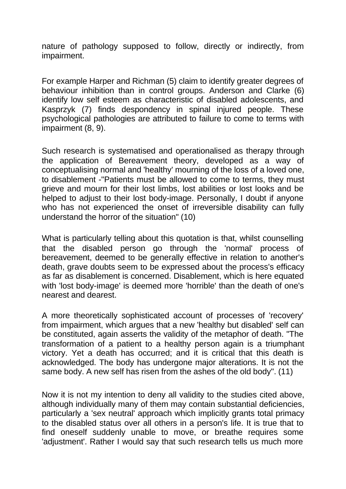nature of pathology supposed to follow, directly or indirectly, from impairment.

For example Harper and Richman (5) claim to identify greater degrees of behaviour inhibition than in control groups. Anderson and Clarke (6) identify low self esteem as characteristic of disabled adolescents, and Kasprzyk (7) finds despondency in spinal injured people. These psychological pathologies are attributed to failure to come to terms with impairment (8, 9).

Such research is systematised and operationalised as therapy through the application of Bereavement theory, developed as a way of conceptualising normal and 'healthy' mourning of the loss of a loved one, to disablement -"Patients must be allowed to come to terms, they must grieve and mourn for their lost limbs, lost abilities or lost looks and be helped to adjust to their lost body-image. Personally, I doubt if anyone who has not experienced the onset of irreversible disability can fully understand the horror of the situation" (10)

What is particularly telling about this quotation is that, whilst counselling that the disabled person go through the 'normal' process of bereavement, deemed to be generally effective in relation to another's death, grave doubts seem to be expressed about the process's efficacy as far as disablement is concerned. Disablement, which is here equated with 'lost body-image' is deemed more 'horrible' than the death of one's nearest and dearest.

A more theoretically sophisticated account of processes of 'recovery' from impairment, which argues that a new 'healthy but disabled' self can be constituted, again asserts the validity of the metaphor of death. "The transformation of a patient to a healthy person again is a triumphant victory. Yet a death has occurred; and it is critical that this death is acknowledged. The body has undergone major alterations. It is not the same body. A new self has risen from the ashes of the old body". (11)

Now it is not my intention to deny all validity to the studies cited above, although individually many of them may contain substantial deficiencies, particularly a 'sex neutral' approach which implicitly grants total primacy to the disabled status over all others in a person's life. It is true that to find oneself suddenly unable to move, or breathe requires some 'adjustment'. Rather I would say that such research tells us much more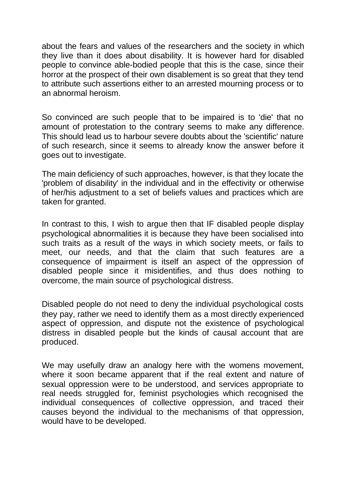about the fears and values of the researchers and the society in which they live than it does about disability. It is however hard for disabled people to convince able-bodied people that this is the case, since their horror at the prospect of their own disablement is so great that they tend to attribute such assertions either to an arrested mourning process or to an abnormal heroism.

So convinced are such people that to be impaired is to 'die' that no amount of protestation to the contrary seems to make any difference. This should lead us to harbour severe doubts about the 'scientific' nature of such research, since it seems to already know the answer before it goes out to investigate.

The main deficiency of such approaches, however, is that they locate the 'problem of disability' in the individual and in the effectivity or otherwise of her/his adjustment to a set of beliefs values and practices which are taken for granted.

In contrast to this, I wish to argue then that IF disabled people display psychological abnormalities it is because they have been socialised into such traits as a result of the ways in which society meets, or fails to meet, our needs, and that the claim that such features are a consequence of impairment is itself an aspect of the oppression of disabled people since it misidentifies, and thus does nothing to overcome, the main source of psychological distress.

Disabled people do not need to deny the individual psychological costs they pay, rather we need to identify them as a most directly experienced aspect of oppression, and dispute not the existence of psychological distress in disabled people but the kinds of causal account that are produced.

We may usefully draw an analogy here with the womens movement, where it soon became apparent that if the real extent and nature of sexual oppression were to be understood, and services appropriate to real needs struggled for, feminist psychologies which recognised the individual consequences of collective oppression, and traced their causes beyond the individual to the mechanisms of that oppression, would have to be developed.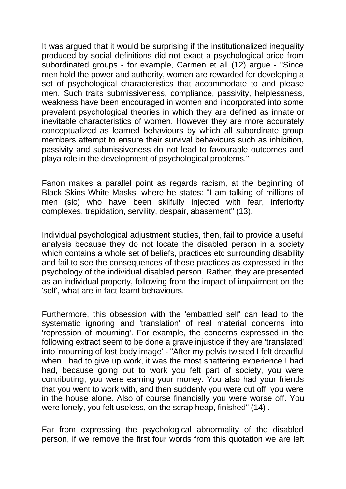It was argued that it would be surprising if the institutionalized inequality produced by social definitions did not exact a psychological price from subordinated groups - for example, Carmen et all (12) argue - "Since men hold the power and authority, women are rewarded for developing a set of psychological characteristics that accommodate to and please men. Such traits submissiveness, compliance, passivity, helplessness, weakness have been encouraged in women and incorporated into some prevalent psychological theories in which they are defined as innate or inevitable characteristics of women. However they are more accurately conceptualized as learned behaviours by which all subordinate group members attempt to ensure their survival behaviours such as inhibition, passivity and submissiveness do not lead to favourable outcomes and playa role in the development of psychological problems."

Fanon makes a parallel point as regards racism, at the beginning of Black Skins White Masks, where he states: "I am talking of millions of men (sic) who have been skilfully injected with fear, inferiority complexes, trepidation, servility, despair, abasement" (13).

Individual psychological adjustment studies, then, fail to provide a useful analysis because they do not locate the disabled person in a society which contains a whole set of beliefs, practices etc surrounding disability and fail to see the consequences of these practices as expressed in the psychology of the individual disabled person. Rather, they are presented as an individual property, following from the impact of impairment on the 'self', what are in fact learnt behaviours.

Furthermore, this obsession with the 'embattled self' can lead to the systematic ignoring and 'translation' of real material concerns into 'repression of mourning'. For example, the concerns expressed in the following extract seem to be done a grave injustice if they are 'translated' into 'mourning of lost body image' - "After my pelvis twisted I felt dreadful when I had to give up work, it was the most shattering experience I had had, because going out to work you felt part of society, you were contributing, you were earning your money. You also had your friends that you went to work with, and then suddenly you were cut off, you were in the house alone. Also of course financially you were worse off. You were lonely, you felt useless, on the scrap heap, finished" (14) .

Far from expressing the psychological abnormality of the disabled person, if we remove the first four words from this quotation we are left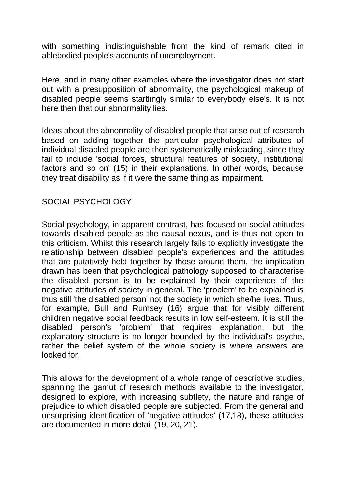with something indistinguishable from the kind of remark cited in ablebodied people's accounts of unemployment.

Here, and in many other examples where the investigator does not start out with a presupposition of abnormality, the psychological makeup of disabled people seems startlingly similar to everybody else's. It is not here then that our abnormality lies.

Ideas about the abnormality of disabled people that arise out of research based on adding together the particular psychological attributes of individual disabled people are then systematically misleading, since they fail to include 'social forces, structural features of society, institutional factors and so on' (15) in their explanations. In other words, because they treat disability as if it were the same thing as impairment.

#### SOCIAL PSYCHOLOGY

Social psychology, in apparent contrast, has focused on social attitudes towards disabled people as the causal nexus, and is thus not open to this criticism. Whilst this research largely fails to explicitly investigate the relationship between disabled people's experiences and the attitudes that are putatively held together by those around them, the implication drawn has been that psychological pathology supposed to characterise the disabled person is to be explained by their experience of the negative attitudes of society in general. The 'problem' to be explained is thus still 'the disabled person' not the society in which she/he lives. Thus, for example, Bull and Rumsey (16) argue that for visibly different children negative social feedback results in low self-esteem. It is still the disabled person's 'problem' that requires explanation, but the explanatory structure is no longer bounded by the individual's psyche, rather the belief system of the whole society is where answers are looked for.

This allows for the development of a whole range of descriptive studies, spanning the gamut of research methods available to the investigator, designed to explore, with increasing subtlety, the nature and range of prejudice to which disabled people are subjected. From the general and unsurprising identification of 'negative attitudes' (17,18), these attitudes are documented in more detail (19, 20, 21).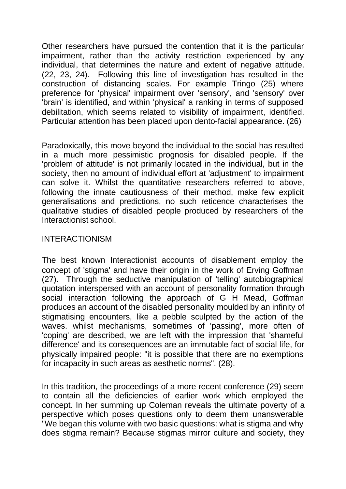Other researchers have pursued the contention that it is the particular impairment, rather than the activity restriction experienced by any individual, that determines the nature and extent of negative attitude. (22, 23, 24). Following this line of investigation has resulted in the construction of distancing scales. For example Tringo (25) where preference for 'physical' impairment over 'sensory', and 'sensory' over 'brain' is identified, and within 'physical' a ranking in terms of supposed debilitation, which seems related to visibility of impairment, identified. Particular attention has been placed upon dento-facial appearance. (26)

Paradoxically, this move beyond the individual to the social has resulted in a much more pessimistic prognosis for disabled people. If the 'problem of attitude' is not primarily located in the individual, but in the society, then no amount of individual effort at 'adjustment' to impairment can solve it. Whilst the quantitative researchers referred to above, following the innate cautiousness of their method, make few explicit generalisations and predictions, no such reticence characterises the qualitative studies of disabled people produced by researchers of the Interactionist school.

#### INTERACTIONISM

The best known Interactionist accounts of disablement employ the concept of 'stigma' and have their origin in the work of Erving Goffman (27). Through the seductive manipulation of 'telling' autobiographical quotation interspersed with an account of personality formation through social interaction following the approach of G H Mead, Goffman produces an account of the disabled personality moulded by an infinity of stigmatising encounters, like a pebble sculpted by the action of the waves. whilst mechanisms, sometimes of 'passing', more often of 'coping' are described, we are left with the impression that 'shameful difference' and its consequences are an immutable fact of social life, for physically impaired people: "it is possible that there are no exemptions for incapacity in such areas as aesthetic norms". (28).

In this tradition, the proceedings of a more recent conference (29) seem to contain all the deficiencies of earlier work which employed the concept. In her summing up Coleman reveals the ultimate poverty of a perspective which poses questions only to deem them unanswerable "We began this volume with two basic questions: what is stigma and why does stigma remain? Because stigmas mirror culture and society, they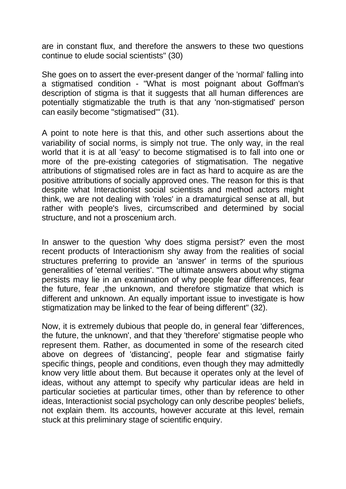are in constant flux, and therefore the answers to these two questions continue to elude social scientists" (30)

She goes on to assert the ever-present danger of the 'normal' falling into a stigmatised condition - "What is most poignant about Goffman's description of stigma is that it suggests that all human differences are potentially stigmatizable the truth is that any 'non-stigmatised' person can easily become "stigmatised'" (31).

A point to note here is that this, and other such assertions about the variability of social norms, is simply not true. The only way, in the real world that it is at all 'easy' to become stigmatised is to fall into one or more of the pre-existing categories of stigmatisation. The negative attributions of stigmatised roles are in fact as hard to acquire as are the positive attributions of socially approved ones. The reason for this is that despite what Interactionist social scientists and method actors might think, we are not dealing with 'roles' in a dramaturgical sense at all, but rather with people's lives, circumscribed and determined by social structure, and not a proscenium arch.

In answer to the question 'why does stigma persist?' even the most recent products of Interactionism shy away from the realities of social structures preferring to provide an 'answer' in terms of the spurious generalities of 'eternal verities'. "The ultimate answers about why stigma persists may lie in an examination of why people fear differences, fear the future, fear ,the unknown, and therefore stigmatize that which is different and unknown. An equally important issue to investigate is how stigmatization may be linked to the fear of being different" (32).

Now, it is extremely dubious that people do, in general fear 'differences, the future, the unknown', and that they 'therefore' stigmatise people who represent them. Rather, as documented in some of the research cited above on degrees of 'distancing', people fear and stigmatise fairly specific things, people and conditions, even though they may admittedly know very little about them. But because it operates only at the level of ideas, without any attempt to specify why particular ideas are held in particular societies at particular times, other than by reference to other ideas, Interactionist social psychology can only describe peoples' beliefs, not explain them. Its accounts, however accurate at this level, remain stuck at this preliminary stage of scientific enquiry.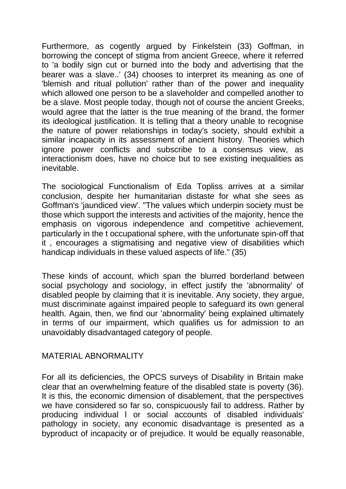Furthermore, as cogently argued by Finkelstein (33) Goffman, in borrowing the concept of stigma from ancient Greece, where it referred to 'a bodily sign cut or burned into the body and advertising that the bearer was a slave..' (34) chooses to interpret its meaning as one of 'blemish and ritual pollution' rather than of the power and inequality which allowed one person to be a slaveholder and compelled another to be a slave. Most people today, though not of course the ancient Greeks, would agree that the latter is the true meaning of the brand, the former its ideological justification. It is telling that a theory unable to recognise the nature of power relationships in today's society, should exhibit a similar incapacity in its assessment of ancient history. Theories which ignore power conflicts and subscribe to a consensus view, as interactionism does, have no choice but to see existing inequalities as inevitable.

The sociological Functionalism of Eda Topliss arrives at a similar conclusion, despite her humanitarian distaste for what she sees as Goffman's 'jaundiced view'. "The values which underpin society must be those which support the interests and activities of the majority, hence the emphasis on vigorous independence and competitive achievement, particularly in the t occupational sphere, with the unfortunate spin-off that it , encourages a stigmatising and negative view of disabilities which handicap individuals in these valued aspects of life." (35)

These kinds of account, which span the blurred borderland between social psychology and sociology, in effect justify the 'abnormality' of disabled people by claiming that it is inevitable. Any society, they argue, must discriminate against impaired people to safeguard its own general health. Again, then, we find our 'abnormality' being explained ultimately in terms of our impairment, which qualifies us for admission to an unavoidably disadvantaged category of people.

#### MATERIAL ABNORMALITY

For all its deficiencies, the OPCS surveys of Disability in Britain make clear that an overwhelming feature of the disabled state is poverty (36). It is this, the economic dimension of disablement, that the perspectives we have considered so far so, conspicuously fail to address. Rather by producing individual l or social accounts of disabled individuals' pathology in society, any economic disadvantage is presented as a byproduct of incapacity or of prejudice. It would be equally reasonable,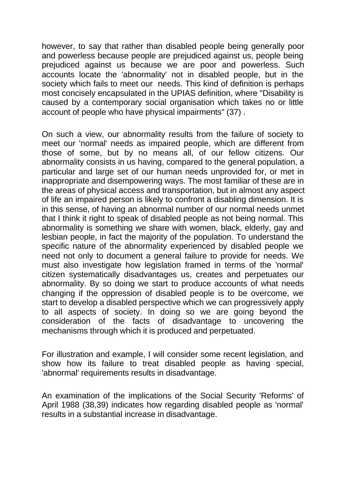however, to say that rather than disabled people being generally poor and powerless because people are prejudiced against us, people being prejudiced against us because we are poor and powerless. Such accounts locate the 'abnormality' not in disabled people, but in the society which fails to meet our needs. This kind of definition is perhaps most concisely encapsulated in the UPIAS definition, where "Disability is caused by a contemporary social organisation which takes no or little account of people who have physical impairments" (37) .

On such a view, our abnormality results from the failure of society to meet our 'normal' needs as impaired people, which are different from those of some, but by no means all, of our fellow citizens. Our abnormality consists in us having, compared to the general population, a particular and large set of our human needs unprovided for, or met in inappropriate and disempowering ways. The most familiar of these are in the areas of physical access and transportation, but in almost any aspect of life an impaired person is likely to confront a disabling dimension. It is in this sense, of having an abnormal number of our normal needs unmet that I think it right to speak of disabled people as not being normal. This abnormality is something we share with women, black, elderly, gay and lesbian people, in fact the majority of the population. To understand the specific nature of the abnormality experienced by disabled people we need not only to document a general failure to provide for needs. We must also investigate how legislation framed in terms of the 'normal' citizen systematically disadvantages us, creates and perpetuates our abnormality. By so doing we start to produce accounts of what needs changing if the oppression of disabled people is to be overcome, we start to develop a disabled perspective which we can progressively apply to all aspects of society. In doing so we are going beyond the consideration of the facts of disadvantage to uncovering the mechanisms through which it is produced and perpetuated.

For illustration and example, I will consider some recent legislation, and show how its failure to treat disabled people as having special, 'abnormal' requirements results in disadvantage.

An examination of the implications of the Social Security 'Reforms' of April 1988 (38,39) indicates how regarding disabled people as 'normal' results in a substantial increase in disadvantage.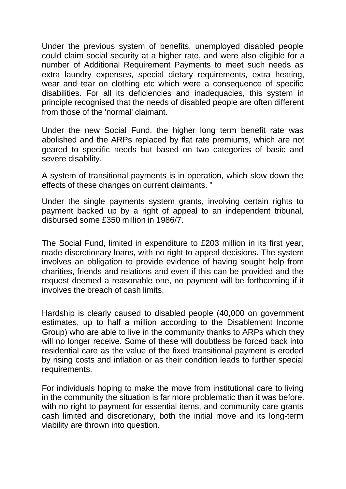Under the previous system of benefits, unemployed disabled people could claim social security at a higher rate, and were also eligible for a number of Additional Requirement Payments to meet such needs as extra laundry expenses, special dietary requirements, extra heating, wear and tear on clothing etc which were a consequence of specific disabilities. For all its deficiencies and inadequacies, this system in principle recognised that the needs of disabled people are often different from those of the 'normal' claimant.

Under the new Social Fund, the higher long term benefit rate was abolished and the ARPs replaced by flat rate premiums, which are not geared to specific needs but based on two categories of basic and severe disability.

A system of transitional payments is in operation, which slow down the effects of these changes on current claimants. "

Under the single payments system grants, involving certain rights to payment backed up by a right of appeal to an independent tribunal, disbursed some £350 million in 1986/7.

The Social Fund, limited in expenditure to £203 million in its first year, made discretionary loans, with no right to appeal decisions. The system involves an obligation to provide evidence of having sought help from charities, friends and relations and even if this can be provided and the request deemed a reasonable one, no payment will be forthcoming if it involves the breach of cash limits.

Hardship is clearly caused to disabled people (40,000 on government estimates, up to half a million according to the Disablement Income Group) who are able to live in the community thanks to ARPs which they will no longer receive. Some of these will doubtless be forced back into residential care as the value of the fixed transitional payment is eroded by rising costs and inflation or as their condition leads to further special requirements.

For individuals hoping to make the move from institutional care to living in the community the situation is far more problematic than it was before. with no right to payment for essential items, and community care grants cash limited and discretionary, both the initial move and its long-term viability are thrown into question.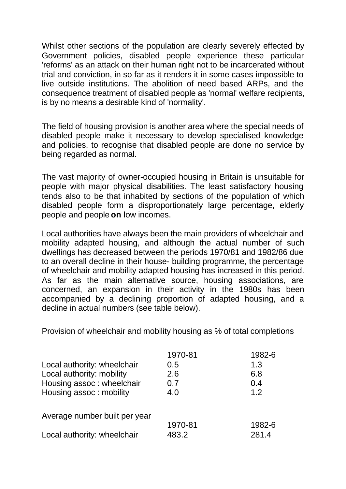Whilst other sections of the population are clearly severely effected by Government policies, disabled people experience these particular 'reforms' as an attack on their human right not to be incarcerated without trial and conviction, in so far as it renders it in some cases impossible to live outside institutions. The abolition of need based ARPs, and the consequence treatment of disabled people as 'normal' welfare recipients, is by no means a desirable kind of 'normality'.

The field of housing provision is another area where the special needs of disabled people make it necessary to develop specialised knowledge and policies, to recognise that disabled people are done no service by being regarded as normal.

The vast majority of owner-occupied housing in Britain is unsuitable for people with major physical disabilities. The least satisfactory housing tends also to be that inhabited by sections of the population of which disabled people form a disproportionately large percentage, elderly people and people **on** low incomes.

Local authorities have always been the main providers of wheelchair and mobility adapted housing, and although the actual number of such dwellings has decreased between the periods 1970/81 and 1982/86 due to an overall decline in their house- building programme, the percentage of wheelchair and mobility adapted housing has increased in this period. As far as the main alternative source, housing associations, are concerned, an expansion in their activity in the 1980s has been accompanied by a declining proportion of adapted housing, and a decline in actual numbers (see table below).

Provision of wheelchair and mobility housing as % of total completions

|                               | 1970-81 | 1982-6 |
|-------------------------------|---------|--------|
| Local authority: wheelchair   | 0.5     | 1.3    |
| Local authority: mobility     | 2.6     | 6.8    |
| Housing assoc: wheelchair     | 0.7     | 0.4    |
| Housing assoc: mobility       | 4.0     | 1.2    |
| Average number built per year |         |        |
|                               | 1970-81 | 1982-6 |
| Local authority: wheelchair   | 483.2   | 281.4  |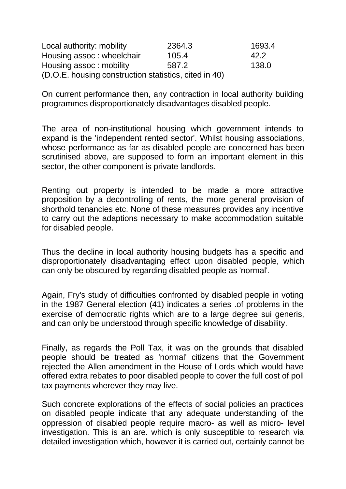| Local authority: mobility                             | 2364.3 | 1693.4 |
|-------------------------------------------------------|--------|--------|
| Housing assoc: wheelchair                             | 105.4  | 42.2   |
| Housing assoc: mobility                               | 587.2  | 138.0  |
| (D.O.E. housing construction statistics, cited in 40) |        |        |

On current performance then, any contraction in local authority building programmes disproportionately disadvantages disabled people.

The area of non-institutional housing which government intends to expand is the 'independent rented sector'. Whilst housing associations, whose performance as far as disabled people are concerned has been scrutinised above, are supposed to form an important element in this sector, the other component is private landlords.

Renting out property is intended to be made a more attractive proposition by a decontrolling of rents, the more general provision of shorthold tenancies etc. None of these measures provides any incentive to carry out the adaptions necessary to make accommodation suitable for disabled people.

Thus the decline in local authority housing budgets has a specific and disproportionately disadvantaging effect upon disabled people, which can only be obscured by regarding disabled people as 'normal'.

Again, Fry's study of difficulties confronted by disabled people in voting in the 1987 General election (41) indicates a series .of problems in the exercise of democratic rights which are to a large degree sui generis, and can only be understood through specific knowledge of disability.

Finally, as regards the Poll Tax, it was on the grounds that disabled people should be treated as 'normal' citizens that the Government rejected the Allen amendment in the House of Lords which would have offered extra rebates to poor disabled people to cover the full cost of poll tax payments wherever they may live.

Such concrete explorations of the effects of social policies an practices on disabled people indicate that any adequate understanding of the oppression of disabled people require macro- as well as micro- level investigation. This is an are. which is only susceptible to research via detailed investigation which, however it is carried out, certainly cannot be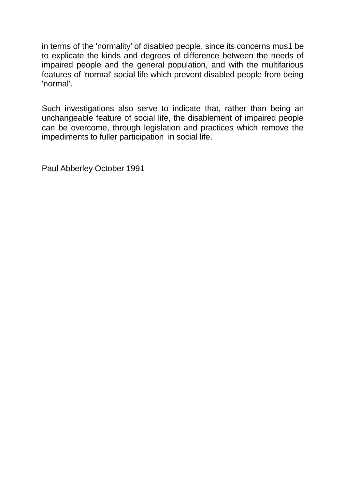in terms of the 'normality' of disabled people, since its concerns mus1 be to explicate the kinds and degrees of difference between the needs of impaired people and the general population, and with the multifarious features of 'normal' social life which prevent disabled people from being 'normal'.

Such investigations also serve to indicate that, rather than being an unchangeable feature of social life, the disablement of impaired people can be overcome, through legislation and practices which remove the impediments to fuller participation in social life.

Paul Abberley October 1991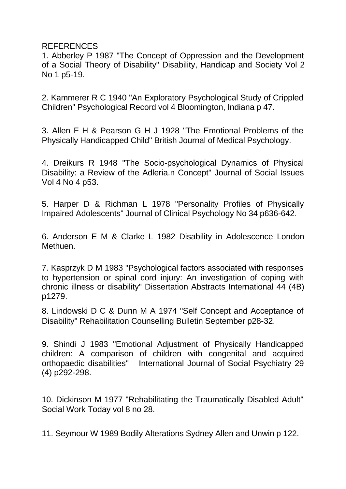#### REFERENCES

1. Abberley P 1987 "The Concept of Oppression and the Development of a Social Theory of Disability" Disability, Handicap and Society Vol 2 No 1 p5-19.

2. Kammerer R C 1940 "An Exploratory Psychological Study of Crippled Children" Psychological Record vol 4 Bloomington, Indiana p 47.

3. Allen F H & Pearson G H J 1928 "The Emotional Problems of the Physically Handicapped Child" British Journal of Medical Psychology.

4. Dreikurs R 1948 "The Socio-psychological Dynamics of Physical Disability: a Review of the Adleria.n Concept" Journal of Social Issues Vol 4 No 4 p53.

5. Harper D & Richman L 1978 "Personality Profiles of Physically Impaired Adolescents" Journal of Clinical Psychology No 34 p636-642.

6. Anderson E M & Clarke L 1982 Disability in Adolescence London Methuen.

7. Kasprzyk D M 1983 "Psychological factors associated with responses to hypertension or spinal cord injury: An investigation of coping with chronic illness or disability" Dissertation Abstracts International 44 (4B) p1279.

8. Lindowski D C & Dunn M A 1974 "Self Concept and Acceptance of Disability" Rehabilitation Counselling Bulletin September p28-32.

9. Shindi J 1983 "Emotional Adjustment of Physically Handicapped children: A comparison of children with congenital and acquired orthopaedic disabilities" International Journal of Social Psychiatry 29 (4) p292-298.

10. Dickinson M 1977 "Rehabilitating the Traumatically Disabled Adult" Social Work Today vol 8 no 28.

11. Seymour W 1989 Bodily Alterations Sydney Allen and Unwin p 122.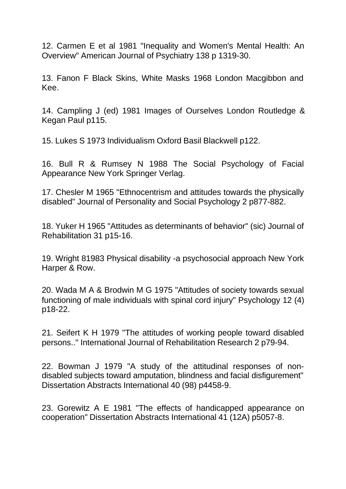12. Carmen E et al 1981 "Inequality and Women's Mental Health: An Overview" American Journal of Psychiatry 138 p 1319-30.

13. Fanon F Black Skins, White Masks 1968 London Macgibbon and Kee.

14. Campling J (ed) 1981 Images of Ourselves London Routledge & Kegan Paul p115.

15. Lukes S 1973 Individualism Oxford Basil Blackwell p122.

16. Bull R & Rumsey N 1988 The Social Psychology of Facial Appearance New York Springer Verlag.

17. Chesler M 1965 "Ethnocentrism and attitudes towards the physically disabled" Journal of Personality and Social Psychology 2 p877-882.

18. Yuker H 1965 "Attitudes as determinants of behavior" (sic) Journal of Rehabilitation 31 p15-16.

19. Wright 81983 Physical disability -a psychosocial approach New York Harper & Row.

20. Wada M A & Brodwin M G 1975 "Attitudes of society towards sexual functioning of male individuals with spinal cord injury" Psychology 12 (4) p18-22.

21. Seifert K H 1979 "The attitudes of working people toward disabled persons.." International Journal of Rehabilitation Research 2 p79-94.

22. Bowman J 1979 "A study of the attitudinal responses of nondisabled subjects toward amputation, blindness and facial disfigurement" Dissertation Abstracts International 40 (98) p4458-9.

23. Gorewitz A E 1981 "The effects of handicapped appearance on cooperation" Dissertation Abstracts International 41 (12A) p5057-8.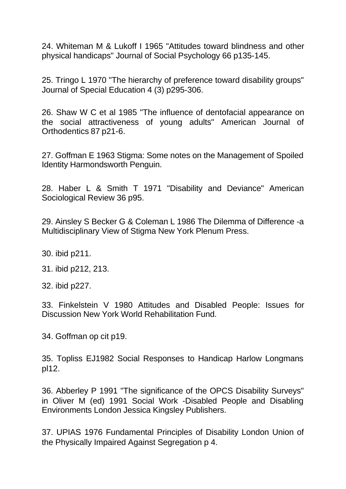24. Whiteman M & Lukoff I 1965 "Attitudes toward blindness and other physical handicaps" Journal of Social Psychology 66 p135-145.

25. Tringo L 1970 "The hierarchy of preference toward disability groups" Journal of Special Education 4 (3) p295-306.

26. Shaw W C et al 1985 "The influence of dentofacial appearance on the social attractiveness of young adults" American Journal of Orthodentics 87 p21-6.

27. Goffman E 1963 Stigma: Some notes on the Management of Spoiled Identity Harmondsworth Penguin.

28. Haber L & Smith T 1971 "Disability and Deviance" American Sociological Review 36 p95.

29. Ainsley S Becker G & Coleman L 1986 The Dilemma of Difference -a Multidisciplinary View of Stigma New York Plenum Press.

30. ibid p211.

31. ibid p212, 213.

32. ibid p227.

33. Finkelstein V 1980 Attitudes and Disabled People: Issues for Discussion New York World Rehabilitation Fund.

34. Goffman op cit p19.

35. Topliss EJ1982 Social Responses to Handicap Harlow Longmans pl12.

36. Abberley P 1991 "The significance of the OPCS Disability Surveys" in Oliver M (ed) 1991 Social Work -Disabled People and Disabling Environments London Jessica Kingsley Publishers.

37. UPIAS 1976 Fundamental Principles of Disability London Union of the Physically Impaired Against Segregation p 4.